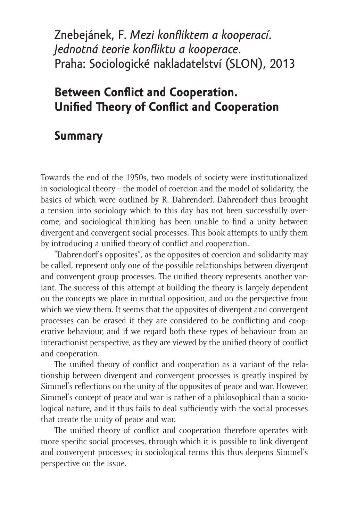Znebejánek, F. *Mezi konfliktem a kooperací. Jednotná teorie konfliktu a kooperace.* Praha: Sociologické nakladatelství (SLON), 2013

## **Between Conflict and Cooperation. Unified Theory of Conflict and Cooperation**

## **Summary**

Towards the end of the 1950s, two models of society were institutionalized in sociological theory – the model of coercion and the model of solidarity, the basics of which were outlined by R. Dahrendorf. Dahrendorf thus brought a tension into sociology which to this day has not been successfully overcome, and sociological thinking has been unable to find a unity between divergent and convergent social processes. This book attempts to unify them by introducing a unified theory of conflict and cooperation.

"Dahrendorf's opposites", as the opposites of coercion and solidarity may be called, represent only one of the possible relationships between divergent and convergent group processes. The unified theory represents another variant. The success of this attempt at building the theory is largely dependent on the concepts we place in mutual opposition, and on the perspective from which we view them. It seems that the opposites of divergent and convergent processes can be erased if they are considered to be conflicting and cooperative behaviour, and if we regard both these types of behaviour from an interactionist perspective, as they are viewed by the unified theory of conflict and cooperation.

The unified theory of conflict and cooperation as a variant of the relationship between divergent and convergent processes is greatly inspired by Simmel's reflections on the unity of the opposites of peace and war. However, Simmel's concept of peace and war is rather of a philosophical than a sociological nature, and it thus fails to deal sufficiently with the social processes that create the unity of peace and war.

The unified theory of conflict and cooperation therefore operates with more specific social processes, through which it is possible to link divergent and convergent processes; in sociological terms this thus deepens Simmel's perspective on the issue.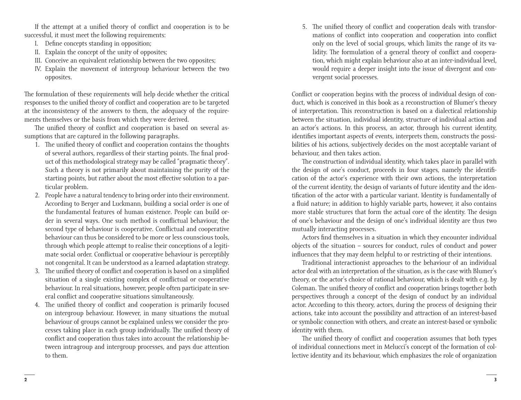If the attempt at a unified theory of conflict and cooperation is to be successful, it must meet the following requirements:

- I. Define concepts standing in opposition;
- II. Explain the concept of the unity of opposites;
- III. Conceive an equivalent relationship between the two opposites;
- IV. Explain the movement of intergroup behaviour between the two opposites.

The formulation of these requirements will help decide whether the critical responses to the unified theory of conflict and cooperation are to be targeted at the inconsistency of the answers to them, the adequacy of the requirements themselves or the basis from which they were derived.

The unified theory of conflict and cooperation is based on several assumptions that are captured in the following paragraphs.

- 1. The unified theory of conflict and cooperation contains the thoughts of several authors, regardless of their starting points. The final product of this methodological strategy may be called "pragmatic theory". Such a theory is not primarily about maintaining the purity of the starting points, but rather about the most effective solution to a particular problem.
- 2. People have a natural tendency to bring order into their environment. According to Berger and Luckmann, building a social order is one of the fundamental features of human existence. People can build order in several ways. One such method is conflictual behaviour, the second type of behaviour is cooperative. Conflictual and cooperative behaviour can thus be considered to be more or less counscious tools, through which people attempt to realise their conceptions of a legitimate social order. Conflictual or cooperative behaviour is perceptibly not congenital. It can be understood as a learned adaptation strategy.
- 3. The unified theory of conflict and cooperation is based on a simplified situation of a single existing complex of conflictual or cooperative behaviour. In real situations, however, people often participate in several conflict and cooperative situations simultaneously.
- 4. The unified theory of conflict and cooperation is primarily focused on intergroup behaviour. However, in many situations the mutual behaviour of groups cannot be explained unless we consider the processes taking place in each group individually. The unified theory of conflict and cooperation thus takes into account the relationship between intragroup and intergroup processes, and pays due attention to them.

5. The unified theory of conflict and cooperation deals with transformations of conflict into cooperation and cooperation into conflict only on the level of social groups, which limits the range of its validity. The formulation of a general theory of conflict and cooperation, which might explain behaviour also at an inter-individual level, would require a deeper insight into the issue of divergent and convergent social processes.

Conflict or cooperation begins with the process of individual design of conduct, which is conceived in this book as a reconstruction of Blumer's theory of interpretation. This reconstruction is based on a dialectical relationship between the situation, individual identity, structure of individual action and an actor's actions. In this process, an actor, through his current identity, identifies important aspects of events, interprets them, constructs the possibilities of his actions, subjectively decides on the most acceptable variant of behaviour, and then takes action.

The construction of individual identity, which takes place in parallel with the design of one's conduct, proceeds in four stages, namely the identification of the actor's experience with their own actions, the interpretation of the current identity, the design of variants of future identity and the identification of the actor with a particular variant. Identity is fundamentally of a fluid nature; in addition to highly variable parts, however, it also contains more stable structures that form the actual core of the identity. The design of one's behaviour and the design of one's individual identity are thus two mutually interacting processes.

Actors find themselves in a situation in which they encounter individual objects of the situation – sources for conduct, rules of conduct and power influences that they may deem helpful to or restricting of their intentions.

Traditional interactionist approaches to the behaviour of an individual actor deal with an interpretation of the situation, as is the case with Blumer's theory, or the actor's choice of rational behaviour, which is dealt with e.g. by Coleman. The unified theory of conflict and cooperation brings together both perspectives through a concept of the design of conduct by an individual actor. According to this theory, actors, during the process of designing their actions, take into account the possibility and attraction of an interest-based or symbolic connection with others, and create an interest-based or symbolic identity with them.

The unified theory of conflict and cooperation assumes that both types of individual connections meet in Melucci's concept of the formation of collective identity and its behaviour, which emphasizes the role of organization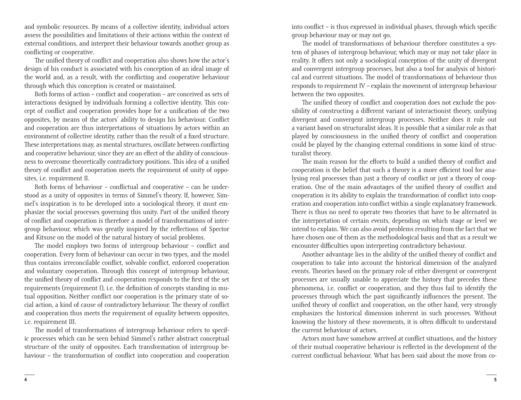and symbolic resources. By means of a collective identity, individual actors assess the possibilities and limitations of their actions within the context of external conditions, and interpret their behaviour towards another group as conflicting or cooperative.

The unified theory of conflict and cooperation also shows how the actor's design of his conduct is associated with his conception of an ideal image of the world and, as a result, with the conflicting and cooperative behaviour through which this conception is created or maintained.

Both forms of action – conflict and cooperation – are conceived as sets of interactions designed by individuals forming a collective identity. This concept of conflict and cooperation provides hope for a unification of the two opposites, by means of the actors' ability to design his behaviour. Conflict and cooperation are thus interpretations of situations by actors within an environment of collective identity, rather than the result of a fixed structure. These interpretations may, as mental structures, oscillate between conflicting and cooperative behaviour, since they are an effect of the ability of consciousness to overcome theoretically contradictory positions. This idea of a unified theory of conflict and cooperation meets the requirement of unity of opposites, i.e. requirement II.

Both forms of behaviour – conflictual and cooperative – can be understood as a unity of opposites in terms of Simmel's theory. If, however, Simmel's inspiration is to be developed into a sociological theory, it must emphasize the social processes governing this unity. Part of the unified theory of conflict and cooperation is therefore a model of transformations of intergroup behaviour, which was greatly inspired by the reflections of Spector and Kitsuse on the model of the natural history of social problems.

The model employs two forms of intergroup behaviour – conflict and cooperation. Every form of behaviour can occur in two types, and the model thus contains irreconcilable conflict, solvable conflict, enforced cooperation and voluntary cooperation. Through this concept of intergroup behaviour, the unified theory of conflict and cooperation responds to the first of the set requirements (requirement I), i.e. the definition of concepts standing in mutual opposition. Neither conflict nor cooperation is the primary state of social action, a kind of cause of contradictory behaviour. The theory of conflict and cooperation thus meets the requirement of equality between opposites, i.e. requirement III.

The model of transformations of intergroup behaviour refers to specific processes which can be seen behind Simmel's rather abstract conceptual structure of the unity of opposites. Each transformation of intergroup behaviour – the transformation of conflict into cooperation and cooperation into conflict – is thus expressed in individual phases, through which specific group behaviour may or may not go.

The model of transformations of behaviour therefore constitutes a system of phases of intergroup behaviour, which may or may not take place in reality. It offers not only a sociological conception of the unity of divergent and convergent intergroup processes, but also a tool for analysis of historical and current situations. The model of transformations of behaviour thus responds to requirement IV – explain the movement of intergroup behaviour between the two opposites.

The unified theory of conflict and cooperation does not exclude the possibility of constructing a different variant of interactionist theory, unifying divergent and convergent intergroup processes. Neither does it rule out a variant based on structuralist ideas. It is possible that a similar role as that played by consciousness in the unified theory of conflict and cooperation could be played by the changing external conditions in some kind of structuralist theory.

The main reason for the efforts to build a unified theory of conflict and cooperation is the belief that such a theory is a more efficient tool for analysing real processes than just a theory of conflict or just a theory of cooperation. One of the main advantages of the unified theory of conflict and cooperation is its ability to explain the transformation of conflict into cooperation and cooperation into conflict within a single explanatory framework. There is thus no need to operate two theories that have to be alternated in the interpretation of certain events, depending on which stage or level we intend to explain. We can also avoid problems resulting from the fact that we have chosen one of them as the methodological basis and that as a result we encounter difficulties upon interpreting contradictory behaviour.

Another advantage lies in the ability of the unified theory of conflict and cooperation to take into account the historical dimension of the analyzed events. Theories based on the primary role of either divergent or convergent processes are usually unable to appreciate the history that precedes these phenomena, i.e. conflict or cooperation, and they thus fail to identify the processes through which the past significantly influences the present. The unified theory of conflict and cooperation, on the other hand, very strongly emphasizes the historical dimension inherent in such processes. Without knowing the history of these movements, it is often difficult to understand the current behaviour of actors.

Actors must have somehow arrived at conflict situations, and the history of their mutual cooperative behaviour is reflected in the development of the current conflictual behaviour. What has been said about the move from co